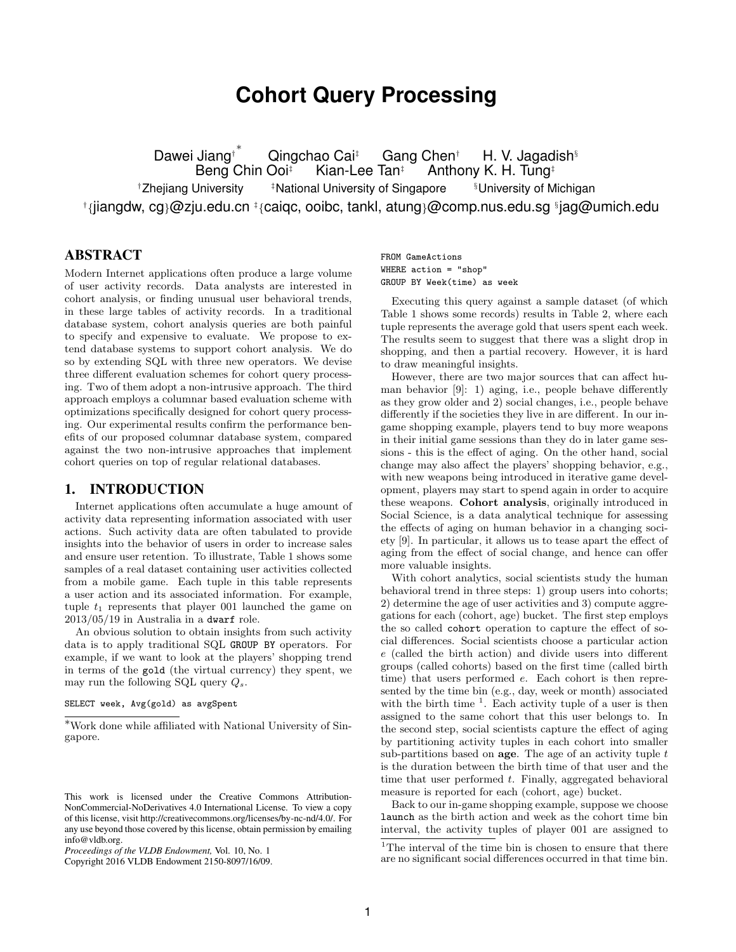# **Cohort Query Processing**

Dawei Jiang<sup>†\*</sup> Qingchao Cai‡ Gang Chen† H. V. Jagadish<sup>§</sup><br>Ooi‡ Kian-Lee Tan‡ Anthony K. H. Tung‡ Beng Chin Ooi‡ Kian-Lee Tan‡ Anthony K. H. Tung‡ †Zhejiang University ‡National University of Singapore §University of Michigan † {jiangdw, cg}@zju.edu.cn ‡ {caiqc, ooibc, tankl, atung}@comp.nus.edu.sg § jag@umich.edu

## ABSTRACT

Modern Internet applications often produce a large volume of user activity records. Data analysts are interested in cohort analysis, or finding unusual user behavioral trends, in these large tables of activity records. In a traditional database system, cohort analysis queries are both painful to specify and expensive to evaluate. We propose to extend database systems to support cohort analysis. We do so by extending SQL with three new operators. We devise three different evaluation schemes for cohort query processing. Two of them adopt a non-intrusive approach. The third approach employs a columnar based evaluation scheme with optimizations specifically designed for cohort query processing. Our experimental results confirm the performance benefits of our proposed columnar database system, compared against the two non-intrusive approaches that implement cohort queries on top of regular relational databases.

## 1. INTRODUCTION

Internet applications often accumulate a huge amount of activity data representing information associated with user actions. Such activity data are often tabulated to provide insights into the behavior of users in order to increase sales and ensure user retention. To illustrate, Table 1 shows some samples of a real dataset containing user activities collected from a mobile game. Each tuple in this table represents a user action and its associated information. For example, tuple  $t_1$  represents that player 001 launched the game on 2013/05/19 in Australia in a dwarf role.

An obvious solution to obtain insights from such activity data is to apply traditional SQL GROUP BY operators. For example, if we want to look at the players' shopping trend in terms of the gold (the virtual currency) they spent, we may run the following SQL query  $Q_s$ .

SELECT week, Avg(gold) as avgSpent

Copyright 2016 VLDB Endowment 2150-8097/16/09.

FROM GameActions WHERE action = "shop" GROUP BY Week(time) as week

Executing this query against a sample dataset (of which Table 1 shows some records) results in Table 2, where each tuple represents the average gold that users spent each week. The results seem to suggest that there was a slight drop in shopping, and then a partial recovery. However, it is hard to draw meaningful insights.

However, there are two major sources that can affect human behavior [9]: 1) aging, i.e., people behave differently as they grow older and 2) social changes, i.e., people behave differently if the societies they live in are different. In our ingame shopping example, players tend to buy more weapons in their initial game sessions than they do in later game sessions - this is the effect of aging. On the other hand, social change may also affect the players' shopping behavior, e.g., with new weapons being introduced in iterative game development, players may start to spend again in order to acquire these weapons. Cohort analysis, originally introduced in Social Science, is a data analytical technique for assessing the effects of aging on human behavior in a changing society [9]. In particular, it allows us to tease apart the effect of aging from the effect of social change, and hence can offer more valuable insights.

With cohort analytics, social scientists study the human behavioral trend in three steps: 1) group users into cohorts; 2) determine the age of user activities and 3) compute aggregations for each (cohort, age) bucket. The first step employs the so called cohort operation to capture the effect of social differences. Social scientists choose a particular action e (called the birth action) and divide users into different groups (called cohorts) based on the first time (called birth time) that users performed e. Each cohort is then represented by the time bin (e.g., day, week or month) associated with the birth time  $<sup>1</sup>$ . Each activity tuple of a user is then</sup> assigned to the same cohort that this user belongs to. In the second step, social scientists capture the effect of aging by partitioning activity tuples in each cohort into smaller sub-partitions based on **age**. The age of an activity tuple  $t$ is the duration between the birth time of that user and the time that user performed  $t$ . Finally, aggregated behavioral measure is reported for each (cohort, age) bucket.

Back to our in-game shopping example, suppose we choose launch as the birth action and week as the cohort time bin interval, the activity tuples of player 001 are assigned to

<sup>∗</sup>Work done while affiliated with National University of Singapore.

This work is licensed under the Creative Commons Attribution-NonCommercial-NoDerivatives 4.0 International License. To view a copy of this license, visit http://creativecommons.org/licenses/by-nc-nd/4.0/. For any use beyond those covered by this license, obtain permission by emailing info@vldb.org.

*Proceedings of the VLDB Endowment,* Vol. 10, No. 1

<sup>&</sup>lt;sup>1</sup>The interval of the time bin is chosen to ensure that there are no significant social differences occurred in that time bin.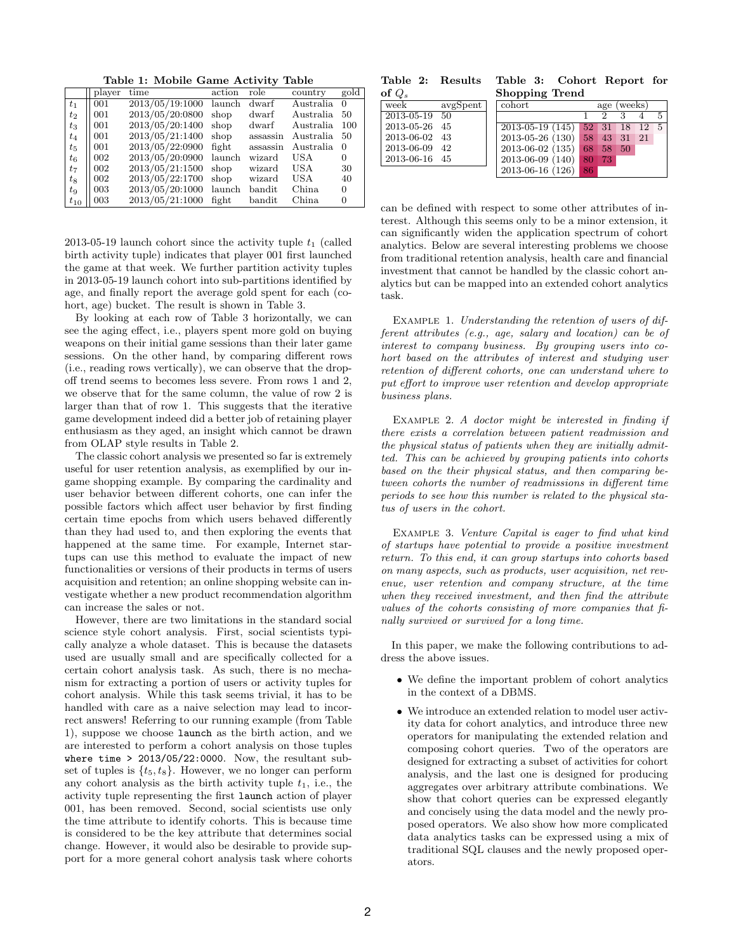Table 1: Mobile Game Activity Table

|          | player | time            | action | role     | country   | gold     |
|----------|--------|-----------------|--------|----------|-----------|----------|
| $t_1$    | 001    | 2013/05/19:1000 | launch | dwarf    | Australia | $\theta$ |
| $t_2$    | 001    | 2013/05/20:0800 | shop   | dwarf    | Australia | 50       |
| $t_3$    | 001    | 2013/05/20:1400 | shop   | dwarf    | Australia | 100      |
| $t_4$    | 001    | 2013/05/21:1400 | shop   | assassin | Australia | 50       |
| $t_{5}$  | 001    | 2013/05/22:0900 | fight  | assassin | Australia | $\Omega$ |
| $t_6$    | 002    | 2013/05/20:0900 | launch | wizard   | USA       | 0        |
| $t_7$    | 002    | 2013/05/21:1500 | shop   | wizard   | USA       | 30       |
| $t_8$    | 002    | 2013/05/22:1700 | shop   | wizard   | USA       | 40       |
| $t_{9}$  | 003    | 2013/05/20:1000 | launch | bandit   | China     | $\Omega$ |
| $t_{10}$ | 003    | 2013/05/21:1000 | fight  | bandit   | China     | $\Omega$ |
|          |        |                 |        |          |           |          |

2013-05-19 launch cohort since the activity tuple  $t_1$  (called birth activity tuple) indicates that player 001 first launched the game at that week. We further partition activity tuples in 2013-05-19 launch cohort into sub-partitions identified by age, and finally report the average gold spent for each (cohort, age) bucket. The result is shown in Table 3.

By looking at each row of Table 3 horizontally, we can see the aging effect, i.e., players spent more gold on buying weapons on their initial game sessions than their later game sessions. On the other hand, by comparing different rows (i.e., reading rows vertically), we can observe that the dropoff trend seems to becomes less severe. From rows 1 and 2, we observe that for the same column, the value of row 2 is larger than that of row 1. This suggests that the iterative game development indeed did a better job of retaining player enthusiasm as they aged, an insight which cannot be drawn from OLAP style results in Table 2.

The classic cohort analysis we presented so far is extremely useful for user retention analysis, as exemplified by our ingame shopping example. By comparing the cardinality and user behavior between different cohorts, one can infer the possible factors which affect user behavior by first finding certain time epochs from which users behaved differently than they had used to, and then exploring the events that happened at the same time. For example, Internet startups can use this method to evaluate the impact of new functionalities or versions of their products in terms of users acquisition and retention; an online shopping website can investigate whether a new product recommendation algorithm can increase the sales or not.

However, there are two limitations in the standard social science style cohort analysis. First, social scientists typically analyze a whole dataset. This is because the datasets used are usually small and are specifically collected for a certain cohort analysis task. As such, there is no mechanism for extracting a portion of users or activity tuples for cohort analysis. While this task seems trivial, it has to be handled with care as a naive selection may lead to incorrect answers! Referring to our running example (from Table 1), suppose we choose launch as the birth action, and we are interested to perform a cohort analysis on those tuples where time > 2013/05/22:0000. Now, the resultant subset of tuples is  $\{t_5, t_8\}$ . However, we no longer can perform any cohort analysis as the birth activity tuple  $t_1$ , i.e., the activity tuple representing the first launch action of player 001, has been removed. Second, social scientists use only the time attribute to identify cohorts. This is because time is considered to be the key attribute that determines social change. However, it would also be desirable to provide support for a more general cohort analysis task where cohorts

Table 2: Results of  $Q_s$ Table 3: Cohort Report for Shopping Trend

| ه جو حد       |         |                          |    |     |             |  |     |
|---------------|---------|--------------------------|----|-----|-------------|--|-----|
| week          | avgSent | cohort<br>age (weeks)    |    |     |             |  |     |
| 2013-05-19 50 |         |                          |    | 2   | З           |  | 5.  |
| 2013-05-26 45 |         | $2013 - 05 - 19(145)$    |    |     | 52 31 18 12 |  | - 5 |
| 2013-06-02 43 |         | $2013-05-26$ (130)       |    |     | 58 43 31 21 |  |     |
| 2013-06-09 42 |         | $2013-06-02(135)$        | 68 | 58  | -50         |  |     |
| 2013-06-16 45 |         | $2013 - 06 - 09$ $(140)$ | 80 | 73/ |             |  |     |
|               |         | $2013 - 06 - 16$ (126)   | 86 |     |             |  |     |

can be defined with respect to some other attributes of interest. Although this seems only to be a minor extension, it can significantly widen the application spectrum of cohort analytics. Below are several interesting problems we choose from traditional retention analysis, health care and financial investment that cannot be handled by the classic cohort analytics but can be mapped into an extended cohort analytics task.

EXAMPLE 1. Understanding the retention of users of different attributes (e.g., age, salary and location) can be of interest to company business. By grouping users into cohort based on the attributes of interest and studying user retention of different cohorts, one can understand where to put effort to improve user retention and develop appropriate business plans.

EXAMPLE 2. A doctor might be interested in finding if there exists a correlation between patient readmission and the physical status of patients when they are initially admitted. This can be achieved by grouping patients into cohorts based on the their physical status, and then comparing between cohorts the number of readmissions in different time periods to see how this number is related to the physical status of users in the cohort.

Example 3. Venture Capital is eager to find what kind of startups have potential to provide a positive investment return. To this end, it can group startups into cohorts based on many aspects, such as products, user acquisition, net revenue, user retention and company structure, at the time when they received investment, and then find the attribute values of the cohorts consisting of more companies that finally survived or survived for a long time.

In this paper, we make the following contributions to address the above issues.

- We define the important problem of cohort analytics in the context of a DBMS.
- We introduce an extended relation to model user activity data for cohort analytics, and introduce three new operators for manipulating the extended relation and composing cohort queries. Two of the operators are designed for extracting a subset of activities for cohort analysis, and the last one is designed for producing aggregates over arbitrary attribute combinations. We show that cohort queries can be expressed elegantly and concisely using the data model and the newly proposed operators. We also show how more complicated data analytics tasks can be expressed using a mix of traditional SQL clauses and the newly proposed operators.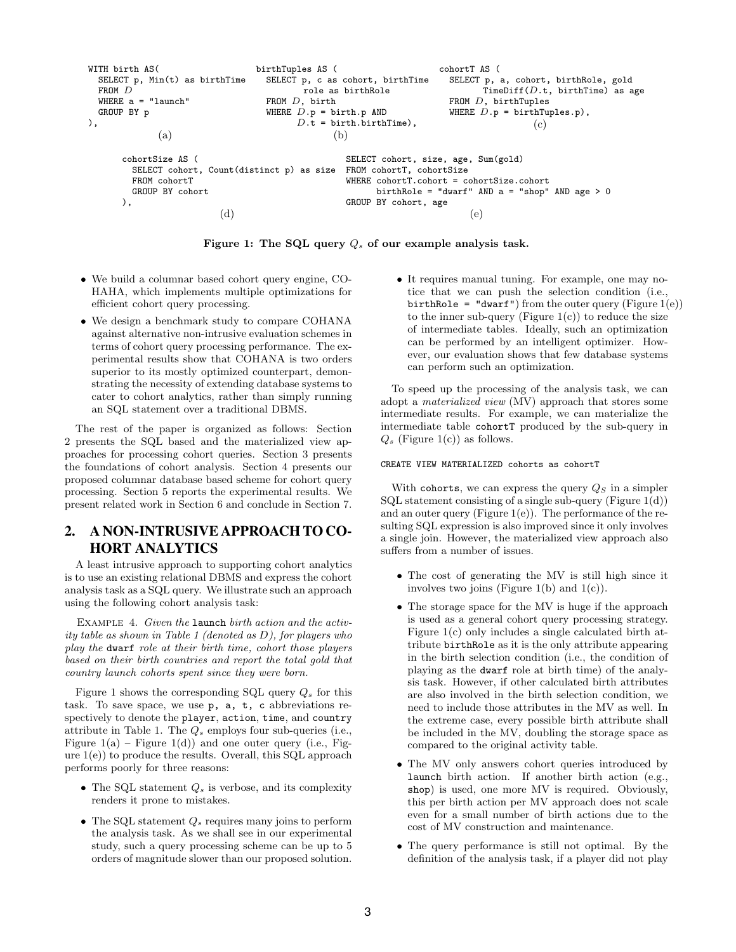```
WITH birth AS(
  SELECT p, Min(t) as birthTime
  FROM D
  WHERE a = "launch"
  GROUP BY p
),
              (a)
                                  birthTuples AS (
                                    SELECT p, c as cohort, birthTime
                                            role as birthRole
                                    FROM D, birth
                                    WHERE D.p = \text{birth.p} AND
                                          D.t = birth.birthTime,
                                                  (b)
                                                                        cohortT AS (
                                                                          SELECT p, a, cohort, birthRole, gold
                                                                                 TimeDiff(D.t, birthTime) as age
                                                                          FROM D, birthTuples
                                                                          WHERE D.p = \text{birthTuples.p},
                                                                                           (c)
       cohortSize AS (
         SELECT cohort, Count(distinct p) as size
         FROM cohortT
         GROUP BY cohort
      ),
                           (d)
                                                     SELECT cohort, size, age, Sum(gold)
                                                    FROM cohortT, cohortSize
                                                     WHERE cohortT.cohort = cohortSize.cohort
                                                           birthRole = "dwarf" AND a = "shop" AND age > 0
                                                     GROUP BY cohort, age
                                                                              (e)
```
Figure 1: The SQL query  $Q_s$  of our example analysis task.

- We build a columnar based cohort query engine, CO-HAHA, which implements multiple optimizations for efficient cohort query processing.
- We design a benchmark study to compare COHANA against alternative non-intrusive evaluation schemes in terms of cohort query processing performance. The experimental results show that COHANA is two orders superior to its mostly optimized counterpart, demonstrating the necessity of extending database systems to cater to cohort analytics, rather than simply running an SQL statement over a traditional DBMS.

The rest of the paper is organized as follows: Section 2 presents the SQL based and the materialized view approaches for processing cohort queries. Section 3 presents the foundations of cohort analysis. Section 4 presents our proposed columnar database based scheme for cohort query processing. Section 5 reports the experimental results. We present related work in Section 6 and conclude in Section 7.

## 2. A NON-INTRUSIVE APPROACH TO CO-HORT ANALYTICS

A least intrusive approach to supporting cohort analytics is to use an existing relational DBMS and express the cohort analysis task as a SQL query. We illustrate such an approach using the following cohort analysis task:

EXAMPLE 4. Given the launch birth action and the activity table as shown in Table 1 (denoted as D), for players who play the dwarf role at their birth time, cohort those players based on their birth countries and report the total gold that country launch cohorts spent since they were born.

Figure 1 shows the corresponding SQL query  $Q_s$  for this task. To save space, we use p, a, t, c abbreviations respectively to denote the player, action, time, and country attribute in Table 1. The  $Q_s$  employs four sub-queries (i.e., Figure  $1(a)$  – Figure  $1(d)$ ) and one outer query (i.e., Figure  $1(e)$  to produce the results. Overall, this SQL approach performs poorly for three reasons:

- The SQL statement  $Q_s$  is verbose, and its complexity renders it prone to mistakes.
- The SQL statement  $Q_s$  requires many joins to perform the analysis task. As we shall see in our experimental study, such a query processing scheme can be up to 5 orders of magnitude slower than our proposed solution.

• It requires manual tuning. For example, one may notice that we can push the selection condition (i.e., birthRole = "dwarf") from the outer query (Figure  $1(e)$ ) to the inner sub-query (Figure  $1(c)$ ) to reduce the size of intermediate tables. Ideally, such an optimization can be performed by an intelligent optimizer. However, our evaluation shows that few database systems can perform such an optimization.

To speed up the processing of the analysis task, we can adopt a materialized view (MV) approach that stores some intermediate results. For example, we can materialize the intermediate table cohortT produced by the sub-query in  $Q_s$  (Figure 1(c)) as follows.

#### CREATE VIEW MATERIALIZED cohorts as cohortT

With cohorts, we can express the query  $Q_S$  in a simpler SQL statement consisting of a single sub-query (Figure 1(d)) and an outer query (Figure  $1(e)$ ). The performance of the resulting SQL expression is also improved since it only involves a single join. However, the materialized view approach also suffers from a number of issues.

- The cost of generating the MV is still high since it involves two joins (Figure 1(b) and  $1(c)$ ).
- The storage space for the MV is huge if the approach is used as a general cohort query processing strategy. Figure 1(c) only includes a single calculated birth attribute birthRole as it is the only attribute appearing in the birth selection condition (i.e., the condition of playing as the dwarf role at birth time) of the analysis task. However, if other calculated birth attributes are also involved in the birth selection condition, we need to include those attributes in the MV as well. In the extreme case, every possible birth attribute shall be included in the MV, doubling the storage space as compared to the original activity table.
- The MV only answers cohort queries introduced by launch birth action. If another birth action (e.g., shop) is used, one more MV is required. Obviously, this per birth action per MV approach does not scale even for a small number of birth actions due to the cost of MV construction and maintenance.
- The query performance is still not optimal. By the definition of the analysis task, if a player did not play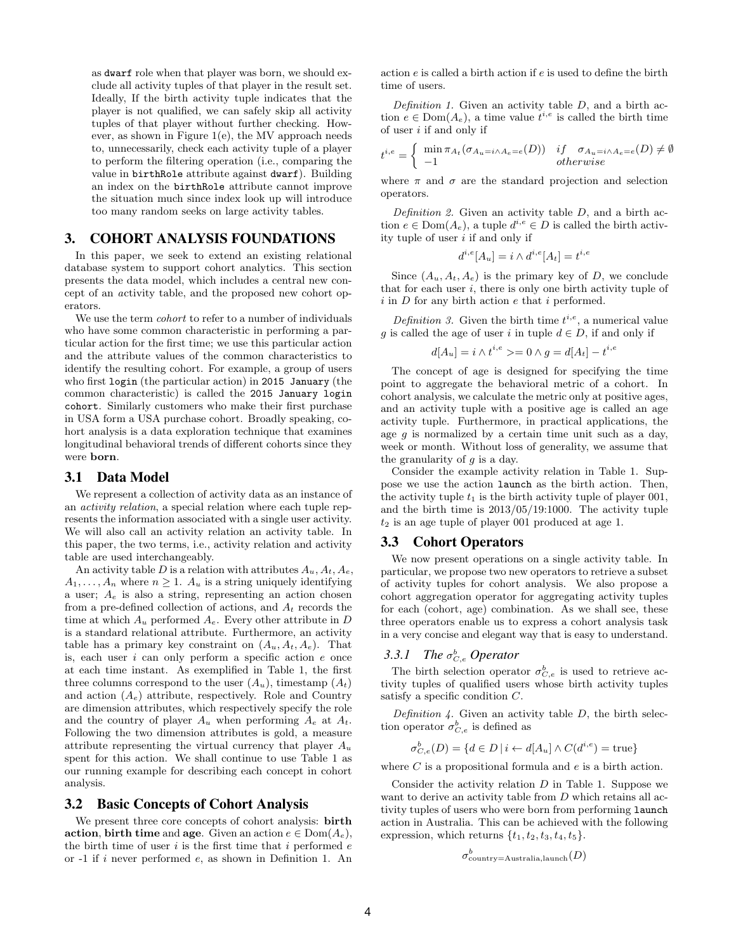as dwarf role when that player was born, we should exclude all activity tuples of that player in the result set. Ideally, If the birth activity tuple indicates that the player is not qualified, we can safely skip all activity tuples of that player without further checking. However, as shown in Figure 1(e), the MV approach needs to, unnecessarily, check each activity tuple of a player to perform the filtering operation (i.e., comparing the value in birthRole attribute against dwarf). Building an index on the birthRole attribute cannot improve the situation much since index look up will introduce too many random seeks on large activity tables.

## 3. COHORT ANALYSIS FOUNDATIONS

In this paper, we seek to extend an existing relational database system to support cohort analytics. This section presents the data model, which includes a central new concept of an activity table, and the proposed new cohort operators.

We use the term cohort to refer to a number of individuals who have some common characteristic in performing a particular action for the first time; we use this particular action and the attribute values of the common characteristics to identify the resulting cohort. For example, a group of users who first login (the particular action) in 2015 January (the common characteristic) is called the 2015 January login cohort. Similarly customers who make their first purchase in USA form a USA purchase cohort. Broadly speaking, cohort analysis is a data exploration technique that examines longitudinal behavioral trends of different cohorts since they were born.

### 3.1 Data Model

We represent a collection of activity data as an instance of an activity relation, a special relation where each tuple represents the information associated with a single user activity. We will also call an activity relation an activity table. In this paper, the two terms, i.e., activity relation and activity table are used interchangeably.

An activity table D is a relation with attributes  $A_u, A_t, A_e$ ,  $A_1, \ldots, A_n$  where  $n \geq 1$ .  $A_u$  is a string uniquely identifying a user;  $A_e$  is also a string, representing an action chosen from a pre-defined collection of actions, and  $A_t$  records the time at which  $A_u$  performed  $A_e$ . Every other attribute in D is a standard relational attribute. Furthermore, an activity table has a primary key constraint on  $(A_u, A_t, A_e)$ . That is, each user  $i$  can only perform a specific action  $e$  once at each time instant. As exemplified in Table 1, the first three columns correspond to the user  $(A_u)$ , timestamp  $(A_t)$ and action  $(A_e)$  attribute, respectively. Role and Country are dimension attributes, which respectively specify the role and the country of player  $A_u$  when performing  $A_e$  at  $A_t$ . Following the two dimension attributes is gold, a measure attribute representing the virtual currency that player  $A_u$ spent for this action. We shall continue to use Table 1 as our running example for describing each concept in cohort analysis.

### 3.2 Basic Concepts of Cohort Analysis

We present three core concepts of cohort analysis: **birth** action, birth time and age. Given an action  $e \in \text{Dom}(A_e)$ , the birth time of user  $i$  is the first time that  $i$  performed  $e$ or -1 if i never performed e, as shown in Definition 1. An

action  $e$  is called a birth action if  $e$  is used to define the birth time of users.

Definition 1. Given an activity table  $D$ , and a birth action  $e \in \text{Dom}(A_e)$ , a time value  $t^{i,e}$  is called the birth time of user  $i$  if and only if

$$
t^{i,e} = \begin{cases} \min \pi_{A_t}(\sigma_{A_u = i \land A_e = e}(D)) & if \sigma_{A_u = i \land A_e = e}(D) \neq \emptyset \\ -1 & otherwise \end{cases}
$$

where  $\pi$  and  $\sigma$  are the standard projection and selection operators.

Definition 2. Given an activity table  $D$ , and a birth action  $e \in \text{Dom}(A_e)$ , a tuple  $d^{i,e} \in D$  is called the birth activity tuple of user  $i$  if and only if

$$
d^{i,e}[A_u] = i \wedge d^{i,e}[A_t] = t^{i,e}
$$

Since  $(A_u, A_t, A_e)$  is the primary key of D, we conclude that for each user  $i$ , there is only one birth activity tuple of  $i$  in  $D$  for any birth action  $e$  that  $i$  performed.

Definition 3. Given the birth time  $t^{i,e}$ , a numerical value q is called the age of user i in tuple  $d \in D$ , if and only if

$$
d[A_u] = i \wedge t^{i,e} > = 0 \wedge g = d[A_t] - t^{i,e}
$$

The concept of age is designed for specifying the time point to aggregate the behavioral metric of a cohort. In cohort analysis, we calculate the metric only at positive ages, and an activity tuple with a positive age is called an age activity tuple. Furthermore, in practical applications, the age  $q$  is normalized by a certain time unit such as a day, week or month. Without loss of generality, we assume that the granularity of  $q$  is a day.

Consider the example activity relation in Table 1. Suppose we use the action launch as the birth action. Then, the activity tuple  $t_1$  is the birth activity tuple of player 001, and the birth time is 2013/05/19:1000. The activity tuple  $t_2$  is an age tuple of player 001 produced at age 1.

## 3.3 Cohort Operators

We now present operations on a single activity table. In particular, we propose two new operators to retrieve a subset of activity tuples for cohort analysis. We also propose a cohort aggregation operator for aggregating activity tuples for each (cohort, age) combination. As we shall see, these three operators enable us to express a cohort analysis task in a very concise and elegant way that is easy to understand.

## *3.3.1 The* σ b C,e *Operator*

The birth selection operator  $\sigma_{C,e}^b$  is used to retrieve activity tuples of qualified users whose birth activity tuples satisfy a specific condition C.

Definition  $4$ . Given an activity table  $D$ , the birth selection operator  $\sigma_{C,e}^b$  is defined as

$$
\sigma_{C,e}^b(D) = \{ d \in D \mid i \leftarrow d[A_u] \wedge C(d^{i,e}) = \text{true} \}
$$

where  $C$  is a propositional formula and  $e$  is a birth action.

Consider the activity relation  $D$  in Table 1. Suppose we want to derive an activity table from  $D$  which retains all activity tuples of users who were born from performing launch action in Australia. This can be achieved with the following expression, which returns  $\{t_1, t_2, t_3, t_4, t_5\}$ .

 $\sigma_{\rm country=Australia, launch}^b(D)$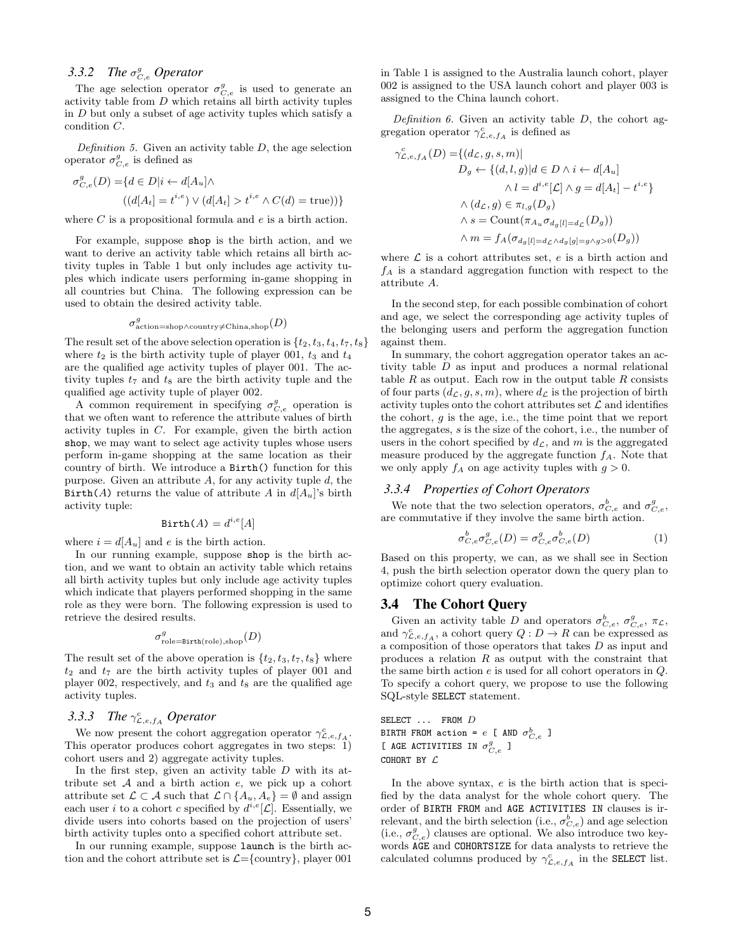## *3.3.2 The* σ g C,e *Operator*

The age selection operator  $\sigma_{C,e}^{g}$  is used to generate an activity table from  $D$  which retains all birth activity tuples in  $D$  but only a subset of age activity tuples which satisfy a condition C.

Definition 5. Given an activity table  $D$ , the age selection operator  $\sigma_{C,e}^g$  is defined as

$$
\sigma_{C,e}^g(D) = \{ d \in D | i \leftarrow d[A_u] \land ((d[A_t] = t^{i,e}) \lor (d[A_t] > t^{i,e} \land C(d) = \text{true}) ) \}
$$

where  $C$  is a propositional formula and  $e$  is a birth action.

For example, suppose shop is the birth action, and we want to derive an activity table which retains all birth activity tuples in Table 1 but only includes age activity tuples which indicate users performing in-game shopping in all countries but China. The following expression can be used to obtain the desired activity table.

$$
\sigma_{\text{action=shop}\wedge\text{country}\neq\text{China,shop}}^{g}(D)
$$

The result set of the above selection operation is  $\{t_2, t_3, t_4, t_7, t_8\}$ where  $t_2$  is the birth activity tuple of player 001,  $t_3$  and  $t_4$ are the qualified age activity tuples of player 001. The activity tuples  $t_7$  and  $t_8$  are the birth activity tuple and the qualified age activity tuple of player 002.

A common requirement in specifying  $\sigma_{C,e}^{g}$  operation is that we often want to reference the attribute values of birth activity tuples in C. For example, given the birth action shop, we may want to select age activity tuples whose users perform in-game shopping at the same location as their country of birth. We introduce a Birth() function for this purpose. Given an attribute  $A$ , for any activity tuple  $d$ , the Birth(A) returns the value of attribute A in  $d[A_u]$ 's birth activity tuple:

$$
\texttt{Birth}(A) = d^{i,e}[A]
$$

where  $i = d[A_u]$  and e is the birth action.

In our running example, suppose shop is the birth action, and we want to obtain an activity table which retains all birth activity tuples but only include age activity tuples which indicate that players performed shopping in the same role as they were born. The following expression is used to retrieve the desired results.

$$
\sigma_{\text{role}=\text{Birth}(\text{role}),\text{shop}}^g(D)
$$

The result set of the above operation is  $\{t_2, t_3, t_7, t_8\}$  where  $t_2$  and  $t_7$  are the birth activity tuples of player 001 and player 002, respectively, and  $t_3$  and  $t_8$  are the qualified age activity tuples.

## 3.3.3 The  $\gamma_{\mathcal{L},e,f_A}^c$  *Operator*

We now present the cohort aggregation operator  $\gamma_{\mathcal{L},e,f_A}^c$ . This operator produces cohort aggregates in two steps: 1) cohort users and 2) aggregate activity tuples.

In the first step, given an activity table  $D$  with its attribute set  $A$  and a birth action  $e$ , we pick up a cohort attribute set  $\mathcal{L} \subset \mathcal{A}$  such that  $\mathcal{L} \cap \{A_u, A_e\} = \emptyset$  and assign each user i to a cohort c specified by  $d^{i,e}[\mathcal{L}]$ . Essentially, we divide users into cohorts based on the projection of users' birth activity tuples onto a specified cohort attribute set.

In our running example, suppose launch is the birth action and the cohort attribute set is  $\mathcal{L} = \{\text{country}\}\,$ , player 001 in Table 1 is assigned to the Australia launch cohort, player 002 is assigned to the USA launch cohort and player 003 is assigned to the China launch cohort.

Definition 6. Given an activity table  $D$ , the cohort aggregation operator  $\gamma_{\mathcal{L},e,f_A}^c$  is defined as

$$
\gamma_{\mathcal{L},e,f_A}^c(D) = \{ (d_{\mathcal{L}}, g, s, m) |
$$
  
\n
$$
D_g \leftarrow \{ (d, l, g) | d \in D \land i \leftarrow d[A_u]
$$
  
\n
$$
\land l = d^{i,e}[\mathcal{L}] \land g = d[A_l] - t^{i,e} \}
$$
  
\n
$$
\land (d_{\mathcal{L}}, g) \in \pi_{l,g}(D_g)
$$
  
\n
$$
\land s = \text{Count}(\pi_{A_u} \sigma_{d_g[l] = d_{\mathcal{L}}}(D_g))
$$
  
\n
$$
\land m = f_A(\sigma_{d_g[l] = d_{\mathcal{L}} \land d_g[g] = g \land g > 0}(D_g))
$$

where  $\mathcal L$  is a cohort attributes set, e is a birth action and  $f_A$  is a standard aggregation function with respect to the attribute A.

In the second step, for each possible combination of cohort and age, we select the corresponding age activity tuples of the belonging users and perform the aggregation function against them.

In summary, the cohort aggregation operator takes an activity table D as input and produces a normal relational table  $R$  as output. Each row in the output table  $R$  consists of four parts  $(d_{\mathcal{L}}, g, s, m)$ , where  $d_{\mathcal{L}}$  is the projection of birth activity tuples onto the cohort attributes set  $\mathcal L$  and identifies the cohort,  $g$  is the age, i.e., the time point that we report the aggregates, s is the size of the cohort, i.e., the number of users in the cohort specified by  $d_{\mathcal{L}}$ , and m is the aggregated measure produced by the aggregate function  $f_A$ . Note that we only apply  $f_A$  on age activity tuples with  $g > 0$ .

### *3.3.4 Properties of Cohort Operators*

We note that the two selection operators,  $\sigma_{C,e}^b$  and  $\sigma_{C,e}^g$ , are commutative if they involve the same birth action.

$$
\sigma_{C,e}^b \sigma_{C,e}^g(D) = \sigma_{C,e}^g \sigma_{C,e}^b(D)
$$
\n(1)

Based on this property, we can, as we shall see in Section 4, push the birth selection operator down the query plan to optimize cohort query evaluation.

## 3.4 The Cohort Query

Given an activity table D and operators  $\sigma_{C,e}^b$ ,  $\sigma_{C,e}^g$ ,  $\pi_{\mathcal{L}}$ , and  $\gamma_{\mathcal{L},e,f_A}^c$ , a cohort query  $Q: D \to R$  can be expressed as a composition of those operators that takes D as input and produces a relation  $R$  as output with the constraint that the same birth action e is used for all cohort operators in Q. To specify a cohort query, we propose to use the following SQL-style SELECT statement.

SELECT ... FROM  $D$ BIRTH FROM action =  $e$  [ AND  $\sigma^{b}_{C,e}$  ] [ AGE ACTIVITIES IN  $\sigma_{C,e}^{g}$  ] COHORT BY  $\mathcal L$ 

In the above syntax, e is the birth action that is specified by the data analyst for the whole cohort query. The order of BIRTH FROM and AGE ACTIVITIES IN clauses is irrelevant, and the birth selection (i.e.,  $\sigma_{C,e}^{b}$ ) and age selection (i.e.,  $\sigma_{C,e}^{g}$ ) clauses are optional. We also introduce two keywords AGE and COHORTSIZE for data analysts to retrieve the calculated columns produced by  $\gamma_{\mathcal{L},e,f_{A}}^{c}$  in the SELECT list.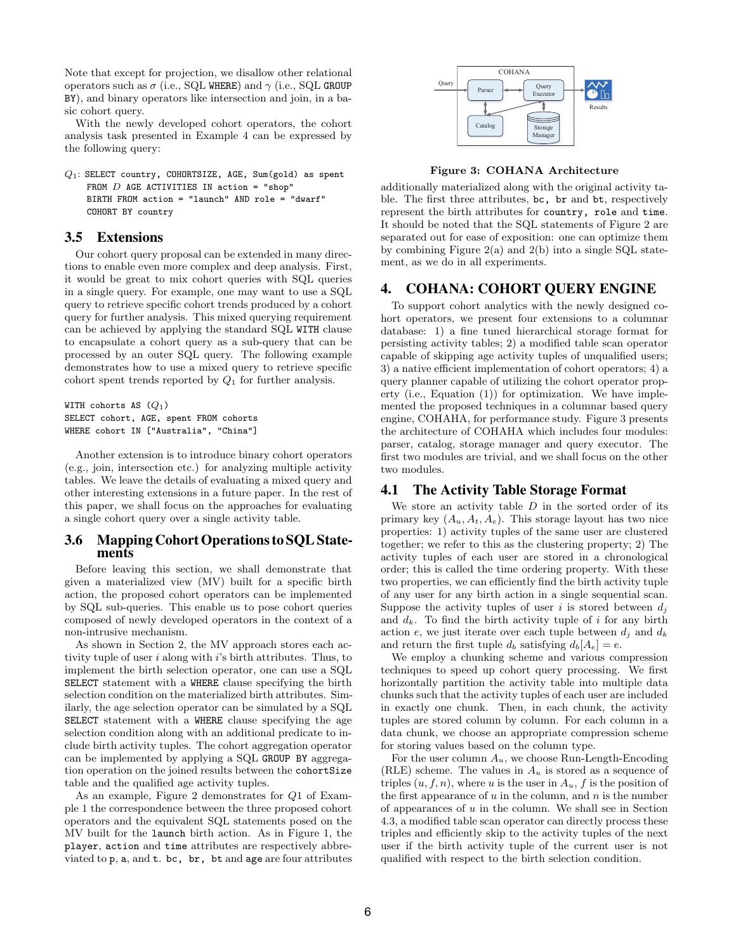Note that except for projection, we disallow other relational operators such as  $\sigma$  (i.e., SQL WHERE) and  $\gamma$  (i.e., SQL GROUP BY), and binary operators like intersection and join, in a basic cohort query.

With the newly developed cohort operators, the cohort analysis task presented in Example 4 can be expressed by the following query:

```
Q_1: SELECT country, COHORTSIZE, AGE, Sum(gold) as spent
    FROM D AGE ACTIVITIES IN action = "shop"
    BIRTH FROM action = "launch" AND role = "dwarf"
    COHORT BY country
```
## 3.5 Extensions

Our cohort query proposal can be extended in many directions to enable even more complex and deep analysis. First, it would be great to mix cohort queries with SQL queries in a single query. For example, one may want to use a SQL query to retrieve specific cohort trends produced by a cohort query for further analysis. This mixed querying requirement can be achieved by applying the standard SQL WITH clause to encapsulate a cohort query as a sub-query that can be processed by an outer SQL query. The following example demonstrates how to use a mixed query to retrieve specific cohort spent trends reported by  $Q_1$  for further analysis.

```
WITH cohorts AS (Q_1)SELECT cohort, AGE, spent FROM cohorts
WHERE cohort IN ["Australia", "China"]
```
Another extension is to introduce binary cohort operators (e.g., join, intersection etc.) for analyzing multiple activity tables. We leave the details of evaluating a mixed query and other interesting extensions in a future paper. In the rest of this paper, we shall focus on the approaches for evaluating a single cohort query over a single activity table.

## 3.6 Mapping Cohort Operations to SQL Statements

Before leaving this section, we shall demonstrate that given a materialized view (MV) built for a specific birth action, the proposed cohort operators can be implemented by SQL sub-queries. This enable us to pose cohort queries composed of newly developed operators in the context of a non-intrusive mechanism.

As shown in Section 2, the MV approach stores each activity tuple of user  $i$  along with  $i$ 's birth attributes. Thus, to implement the birth selection operator, one can use a SQL SELECT statement with a WHERE clause specifying the birth selection condition on the materialized birth attributes. Similarly, the age selection operator can be simulated by a SQL SELECT statement with a WHERE clause specifying the age selection condition along with an additional predicate to include birth activity tuples. The cohort aggregation operator can be implemented by applying a SQL GROUP BY aggregation operation on the joined results between the cohortSize table and the qualified age activity tuples.

As an example, Figure 2 demonstrates for Q1 of Example 1 the correspondence between the three proposed cohort operators and the equivalent SQL statements posed on the MV built for the launch birth action. As in Figure 1, the player, action and time attributes are respectively abbreviated to p, a, and t. bc, br, bt and age are four attributes



#### Figure 3: COHANA Architecture

additionally materialized along with the original activity table. The first three attributes, bc, br and bt, respectively represent the birth attributes for country, role and time. It should be noted that the SQL statements of Figure 2 are separated out for ease of exposition: one can optimize them by combining Figure 2(a) and 2(b) into a single  $SQL$  statement, as we do in all experiments.

### 4. COHANA: COHORT QUERY ENGINE

To support cohort analytics with the newly designed cohort operators, we present four extensions to a columnar database: 1) a fine tuned hierarchical storage format for persisting activity tables; 2) a modified table scan operator capable of skipping age activity tuples of unqualified users; 3) a native efficient implementation of cohort operators; 4) a query planner capable of utilizing the cohort operator property (i.e., Equation (1)) for optimization. We have implemented the proposed techniques in a columnar based query engine, COHAHA, for performance study. Figure 3 presents the architecture of COHAHA which includes four modules: parser, catalog, storage manager and query executor. The first two modules are trivial, and we shall focus on the other two modules.

## 4.1 The Activity Table Storage Format

We store an activity table  $D$  in the sorted order of its primary key  $(A_u, A_t, A_e)$ . This storage layout has two nice properties: 1) activity tuples of the same user are clustered together; we refer to this as the clustering property; 2) The activity tuples of each user are stored in a chronological order; this is called the time ordering property. With these two properties, we can efficiently find the birth activity tuple of any user for any birth action in a single sequential scan. Suppose the activity tuples of user i is stored between  $d_j$ and  $d_k$ . To find the birth activity tuple of i for any birth action  $e$ , we just iterate over each tuple between  $d_j$  and  $d_k$ and return the first tuple  $d_b$  satisfying  $d_b[A_e] = e$ .

We employ a chunking scheme and various compression techniques to speed up cohort query processing. We first horizontally partition the activity table into multiple data chunks such that the activity tuples of each user are included in exactly one chunk. Then, in each chunk, the activity tuples are stored column by column. For each column in a data chunk, we choose an appropriate compression scheme for storing values based on the column type.

For the user column  $A_u$ , we choose Run-Length-Encoding (RLE) scheme. The values in  $A_u$  is stored as a sequence of triples  $(u, f, n)$ , where u is the user in  $A_u$ , f is the position of the first appearance of  $u$  in the column, and  $n$  is the number of appearances of  $u$  in the column. We shall see in Section 4.3, a modified table scan operator can directly process these triples and efficiently skip to the activity tuples of the next user if the birth activity tuple of the current user is not qualified with respect to the birth selection condition.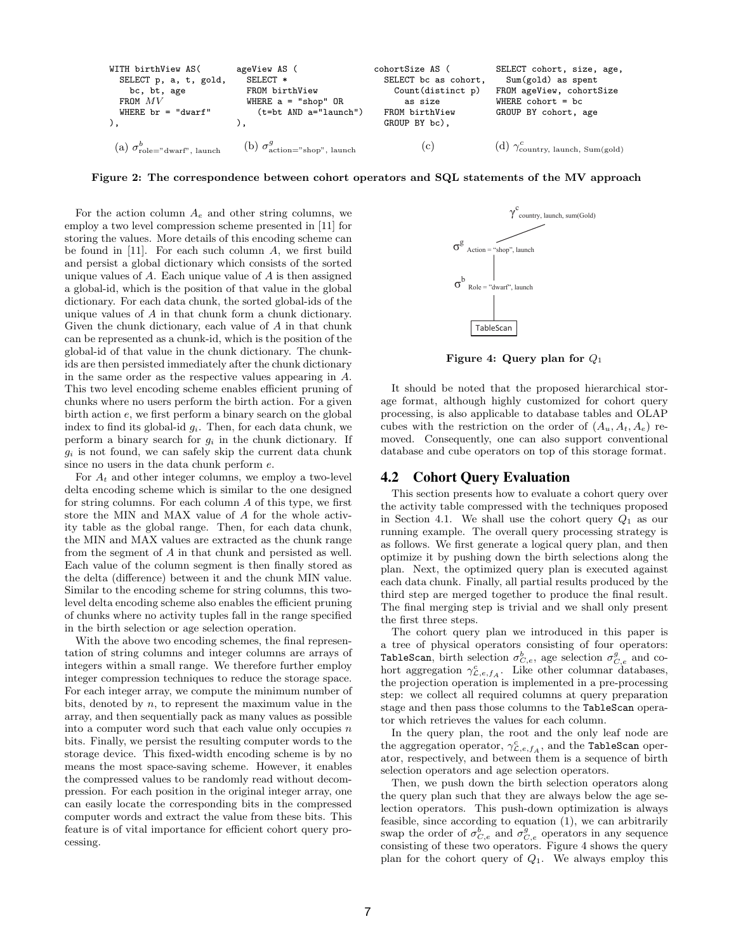

Figure 2: The correspondence between cohort operators and SQL statements of the MV approach

For the action column  $A_e$  and other string columns, we employ a two level compression scheme presented in [11] for storing the values. More details of this encoding scheme can be found in [11]. For each such column A, we first build and persist a global dictionary which consists of the sorted unique values of A. Each unique value of A is then assigned a global-id, which is the position of that value in the global dictionary. For each data chunk, the sorted global-ids of the unique values of A in that chunk form a chunk dictionary. Given the chunk dictionary, each value of A in that chunk can be represented as a chunk-id, which is the position of the global-id of that value in the chunk dictionary. The chunkids are then persisted immediately after the chunk dictionary in the same order as the respective values appearing in A. This two level encoding scheme enables efficient pruning of chunks where no users perform the birth action. For a given birth action e, we first perform a binary search on the global index to find its global-id  $g_i$ . Then, for each data chunk, we perform a binary search for  $g_i$  in the chunk dictionary. If  $g_i$  is not found, we can safely skip the current data chunk since no users in the data chunk perform e.

For  $A_t$  and other integer columns, we employ a two-level delta encoding scheme which is similar to the one designed for string columns. For each column  $A$  of this type, we first store the MIN and MAX value of A for the whole activity table as the global range. Then, for each data chunk, the MIN and MAX values are extracted as the chunk range from the segment of A in that chunk and persisted as well. Each value of the column segment is then finally stored as the delta (difference) between it and the chunk MIN value. Similar to the encoding scheme for string columns, this twolevel delta encoding scheme also enables the efficient pruning of chunks where no activity tuples fall in the range specified in the birth selection or age selection operation.

With the above two encoding schemes, the final representation of string columns and integer columns are arrays of integers within a small range. We therefore further employ integer compression techniques to reduce the storage space. For each integer array, we compute the minimum number of bits, denoted by  $n$ , to represent the maximum value in the array, and then sequentially pack as many values as possible into a computer word such that each value only occupies  $n$ bits. Finally, we persist the resulting computer words to the storage device. This fixed-width encoding scheme is by no means the most space-saving scheme. However, it enables the compressed values to be randomly read without decompression. For each position in the original integer array, one can easily locate the corresponding bits in the compressed computer words and extract the value from these bits. This feature is of vital importance for efficient cohort query processing.



Figure 4: Query plan for  $Q_1$ 

It should be noted that the proposed hierarchical storage format, although highly customized for cohort query processing, is also applicable to database tables and OLAP cubes with the restriction on the order of  $(A_u, A_t, A_e)$  removed. Consequently, one can also support conventional database and cube operators on top of this storage format.

#### 4.2 Cohort Query Evaluation

This section presents how to evaluate a cohort query over the activity table compressed with the techniques proposed in Section 4.1. We shall use the cohort query  $Q_1$  as our running example. The overall query processing strategy is as follows. We first generate a logical query plan, and then optimize it by pushing down the birth selections along the plan. Next, the optimized query plan is executed against each data chunk. Finally, all partial results produced by the third step are merged together to produce the final result. The final merging step is trivial and we shall only present the first three steps.

The cohort query plan we introduced in this paper is a tree of physical operators consisting of four operators: TableScan, birth selection  $\sigma_{C,e}^b$ , age selection  $\sigma_{C,e}^g$  and cohort aggregation  $\gamma_{\mathcal{L},e,f_A}^c$ . Like other columnar databases, the projection operation is implemented in a pre-processing step: we collect all required columns at query preparation stage and then pass those columns to the TableScan operator which retrieves the values for each column.

In the query plan, the root and the only leaf node are the aggregation operator,  $\gamma^c_{\mathcal{L},e,f_A},$  and the TableScan operator, respectively, and between them is a sequence of birth selection operators and age selection operators.

Then, we push down the birth selection operators along the query plan such that they are always below the age selection operators. This push-down optimization is always feasible, since according to equation (1), we can arbitrarily swap the order of  $\sigma_{C,e}^b$  and  $\sigma_{C,e}^g$  operators in any sequence consisting of these two operators. Figure 4 shows the query plan for the cohort query of  $Q_1$ . We always employ this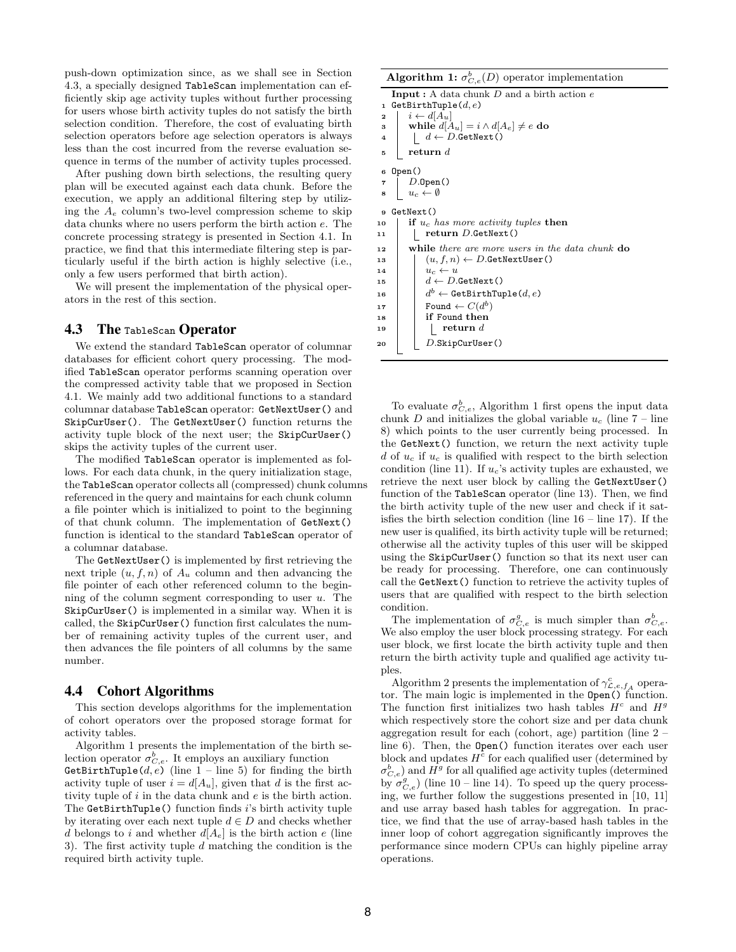push-down optimization since, as we shall see in Section 4.3, a specially designed TableScan implementation can efficiently skip age activity tuples without further processing for users whose birth activity tuples do not satisfy the birth selection condition. Therefore, the cost of evaluating birth selection operators before age selection operators is always less than the cost incurred from the reverse evaluation sequence in terms of the number of activity tuples processed.

After pushing down birth selections, the resulting query plan will be executed against each data chunk. Before the execution, we apply an additional filtering step by utilizing the  $A_e$  column's two-level compression scheme to skip data chunks where no users perform the birth action e. The concrete processing strategy is presented in Section 4.1. In practice, we find that this intermediate filtering step is particularly useful if the birth action is highly selective (i.e., only a few users performed that birth action).

We will present the implementation of the physical operators in the rest of this section.

## 4.3 The TableScan Operator

We extend the standard TableScan operator of columnar databases for efficient cohort query processing. The modified TableScan operator performs scanning operation over the compressed activity table that we proposed in Section 4.1. We mainly add two additional functions to a standard columnar database TableScan operator: GetNextUser() and SkipCurUser(). The GetNextUser() function returns the activity tuple block of the next user; the SkipCurUser() skips the activity tuples of the current user.

The modified TableScan operator is implemented as follows. For each data chunk, in the query initialization stage, the TableScan operator collects all (compressed) chunk columns referenced in the query and maintains for each chunk column a file pointer which is initialized to point to the beginning of that chunk column. The implementation of GetNext() function is identical to the standard TableScan operator of a columnar database.

The GetNextUser() is implemented by first retrieving the next triple  $(u, f, n)$  of  $A_u$  column and then advancing the file pointer of each other referenced column to the beginning of the column segment corresponding to user  $u$ . The SkipCurUser() is implemented in a similar way. When it is called, the SkipCurUser() function first calculates the number of remaining activity tuples of the current user, and then advances the file pointers of all columns by the same number.

## 4.4 Cohort Algorithms

This section develops algorithms for the implementation of cohort operators over the proposed storage format for activity tables.

Algorithm 1 presents the implementation of the birth selection operator  $\sigma_{C,e}^b$ . It employs an auxiliary function GetBirthTuple(d, e) (line  $1$  – line 5) for finding the birth activity tuple of user  $i = d[A_u]$ , given that d is the first activity tuple of i in the data chunk and e is the birth action. The GetBirthTuple() function finds i's birth activity tuple by iterating over each next tuple  $d \in D$  and checks whether d belongs to i and whether  $d[A_e]$  is the birth action e (line 3). The first activity tuple d matching the condition is the required birth activity tuple.

**Algorithm 1:**  $\sigma_{C,e}^{b}(D)$  operator implementation

```
Input: A data chunk D and a birth action e1 GetBirthTuple(d, e)2 i \leftarrow d[A_u]3 while d[A_u] = i \wedge d[A_e] \neq e do
4 d \leftarrow D \text{.GetNext}()5 return d
 6 Open()
 7 \mid D.0pen()
    u_c \leftarrow \emptyset9 GetNext()
10 if u_c has more activity tuples then
11 | return D.GetNext()
12 while there are more users in the data chunk do
13 (u, f, n) \leftarrow D. GetNextUser()
14 u_c \leftarrow u15 d \leftarrow D \text{.GetNext}()16 d
           d^b \leftarrow \texttt{GetBirthTuple}(d, e)17 | Found \leftarrow C(d^b)18 if Found then
19 | | | return d20 D.SkipCurUser()
```
To evaluate  $\sigma_{C,e}^{b}$ , Algorithm 1 first opens the input data chunk D and initializes the global variable  $u_c$  (line  $7$  – line 8) which points to the user currently being processed. In the GetNext() function, we return the next activity tuple d of  $u_c$  if  $u_c$  is qualified with respect to the birth selection condition (line 11). If  $u_c$ 's activity tuples are exhausted, we retrieve the next user block by calling the GetNextUser() function of the TableScan operator (line 13). Then, we find the birth activity tuple of the new user and check if it satisfies the birth selection condition (line  $16$  – line 17). If the new user is qualified, its birth activity tuple will be returned; otherwise all the activity tuples of this user will be skipped using the SkipCurUser() function so that its next user can be ready for processing. Therefore, one can continuously call the GetNext() function to retrieve the activity tuples of users that are qualified with respect to the birth selection condition.

The implementation of  $\sigma_{C,e}^g$  is much simpler than  $\sigma_{C,e}^b$ . We also employ the user block processing strategy. For each user block, we first locate the birth activity tuple and then return the birth activity tuple and qualified age activity tuples.

Algorithm 2 presents the implementation of  $\gamma_{\mathcal{L},e,f_{A}}^{c}$  operator. The main logic is implemented in the Open() function. The function first initializes two hash tables  $H<sup>c</sup>$  and  $H<sup>g</sup>$ which respectively store the cohort size and per data chunk aggregation result for each (cohort, age) partition (line 2 – line 6). Then, the Open() function iterates over each user block and updates  $H^c$  for each qualified user (determined by  $\sigma_{C,e}^{b}$ ) and  $H^{g}$  for all qualified age activity tuples (determined by  $\sigma_{C,e}^{g}$ ) (line 10 – line 14). To speed up the query processing, we further follow the suggestions presented in [10, 11] and use array based hash tables for aggregation. In practice, we find that the use of array-based hash tables in the inner loop of cohort aggregation significantly improves the performance since modern CPUs can highly pipeline array operations.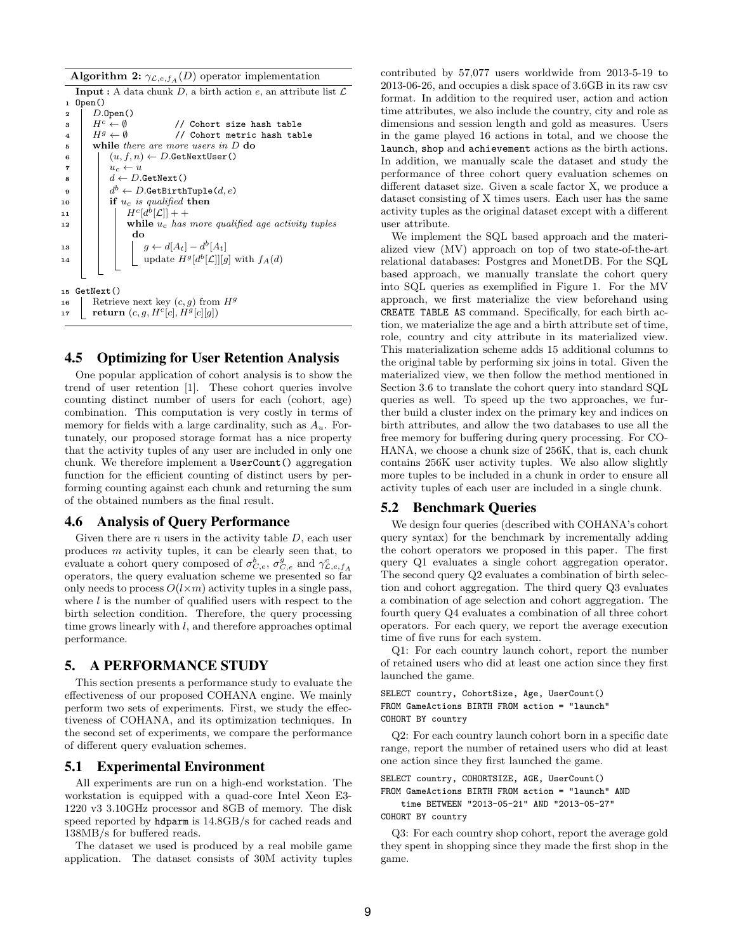Algorithm 2:  $\gamma_{\mathcal{L},e,f_A}(D)$  operator implementation

|                         | <b>Input</b> : A data chunk D, a birth action e, an attribute list $\mathcal{L}$                                                   |  |  |  |  |  |
|-------------------------|------------------------------------------------------------------------------------------------------------------------------------|--|--|--|--|--|
| $\mathbf{1}$            | Open()                                                                                                                             |  |  |  |  |  |
| $\mathbf{2}$            | $D.$ Open $()$                                                                                                                     |  |  |  |  |  |
| 3                       | $H^c \leftarrow \emptyset$<br>// Cohort size hash table                                                                            |  |  |  |  |  |
| $\overline{\mathbf{4}}$ | $H^g \leftarrow \emptyset$<br>// Cohort metric hash table                                                                          |  |  |  |  |  |
| 5                       | while there are more users in $D$ do                                                                                               |  |  |  |  |  |
| 6                       | $(u, f, n) \leftarrow D$ .GetNextUser()                                                                                            |  |  |  |  |  |
| $\overline{\mathbf{r}}$ | $u_c \leftarrow u$                                                                                                                 |  |  |  |  |  |
| 8                       | $d \leftarrow D$ .GetNext()                                                                                                        |  |  |  |  |  |
| 9                       | $d^b \leftarrow D$ .GetBirthTuple(d,e)                                                                                             |  |  |  |  |  |
| 10                      | if $u_c$ is qualified then                                                                                                         |  |  |  |  |  |
| 11                      | $H^c[d^b[\mathcal{L}]]++$                                                                                                          |  |  |  |  |  |
| $12 \,$                 | while $u_c$ has more qualified age activity tuples                                                                                 |  |  |  |  |  |
|                         | do                                                                                                                                 |  |  |  |  |  |
| 13                      |                                                                                                                                    |  |  |  |  |  |
| 14                      | $\begin{array}{ll} & g \leftarrow d[A_t] - d^b[A_t] \\ & \text{update } H^g[d^b[\mathcal{L}]][g] \text{ with } f_A(d) \end{array}$ |  |  |  |  |  |
|                         |                                                                                                                                    |  |  |  |  |  |
|                         |                                                                                                                                    |  |  |  |  |  |
|                         | 15 GetNext()                                                                                                                       |  |  |  |  |  |
| 16                      | Retrieve next key $(c, g)$ from $Hg$                                                                                               |  |  |  |  |  |
| 17                      | return $(c, g, H^c[c], H^g[c][g])$                                                                                                 |  |  |  |  |  |
|                         |                                                                                                                                    |  |  |  |  |  |
|                         |                                                                                                                                    |  |  |  |  |  |

### 4.5 Optimizing for User Retention Analysis

One popular application of cohort analysis is to show the trend of user retention [1]. These cohort queries involve counting distinct number of users for each (cohort, age) combination. This computation is very costly in terms of memory for fields with a large cardinality, such as  $A_u$ . Fortunately, our proposed storage format has a nice property that the activity tuples of any user are included in only one chunk. We therefore implement a UserCount() aggregation function for the efficient counting of distinct users by performing counting against each chunk and returning the sum of the obtained numbers as the final result.

## 4.6 Analysis of Query Performance

Given there are  $n$  users in the activity table  $D$ , each user produces m activity tuples, it can be clearly seen that, to evaluate a cohort query composed of  $\sigma_{C,e}^{b}$ ,  $\sigma_{C,e}^{g}$  and  $\gamma_{\mathcal{L},e,f_A}^{c}$ operators, the query evaluation scheme we presented so far only needs to process  $O(l \times m)$  activity tuples in a single pass, where  $l$  is the number of qualified users with respect to the birth selection condition. Therefore, the query processing time grows linearly with  $l$ , and therefore approaches optimal performance.

## 5. A PERFORMANCE STUDY

This section presents a performance study to evaluate the effectiveness of our proposed COHANA engine. We mainly perform two sets of experiments. First, we study the effectiveness of COHANA, and its optimization techniques. In the second set of experiments, we compare the performance of different query evaluation schemes.

#### 5.1 Experimental Environment

All experiments are run on a high-end workstation. The workstation is equipped with a quad-core Intel Xeon E3- 1220 v3 3.10GHz processor and 8GB of memory. The disk speed reported by hdparm is 14.8GB/s for cached reads and 138MB/s for buffered reads.

The dataset we used is produced by a real mobile game application. The dataset consists of 30M activity tuples

contributed by 57,077 users worldwide from 2013-5-19 to 2013-06-26, and occupies a disk space of 3.6GB in its raw csv format. In addition to the required user, action and action time attributes, we also include the country, city and role as dimensions and session length and gold as measures. Users in the game played 16 actions in total, and we choose the launch, shop and achievement actions as the birth actions. In addition, we manually scale the dataset and study the performance of three cohort query evaluation schemes on different dataset size. Given a scale factor X, we produce a dataset consisting of X times users. Each user has the same activity tuples as the original dataset except with a different user attribute.

We implement the SQL based approach and the materialized view (MV) approach on top of two state-of-the-art relational databases: Postgres and MonetDB. For the SQL based approach, we manually translate the cohort query into SQL queries as exemplified in Figure 1. For the MV approach, we first materialize the view beforehand using CREATE TABLE AS command. Specifically, for each birth action, we materialize the age and a birth attribute set of time, role, country and city attribute in its materialized view. This materialization scheme adds 15 additional columns to the original table by performing six joins in total. Given the materialized view, we then follow the method mentioned in Section 3.6 to translate the cohort query into standard SQL queries as well. To speed up the two approaches, we further build a cluster index on the primary key and indices on birth attributes, and allow the two databases to use all the free memory for buffering during query processing. For CO-HANA, we choose a chunk size of 256K, that is, each chunk contains 256K user activity tuples. We also allow slightly more tuples to be included in a chunk in order to ensure all activity tuples of each user are included in a single chunk.

## 5.2 Benchmark Queries

We design four queries (described with COHANA's cohort query syntax) for the benchmark by incrementally adding the cohort operators we proposed in this paper. The first query Q1 evaluates a single cohort aggregation operator. The second query Q2 evaluates a combination of birth selection and cohort aggregation. The third query Q3 evaluates a combination of age selection and cohort aggregation. The fourth query Q4 evaluates a combination of all three cohort operators. For each query, we report the average execution time of five runs for each system.

Q1: For each country launch cohort, report the number of retained users who did at least one action since they first launched the game.

```
SELECT country, CohortSize, Age, UserCount()
FROM GameActions BIRTH FROM action = "launch"
COHORT BY country
```
Q2: For each country launch cohort born in a specific date range, report the number of retained users who did at least one action since they first launched the game.

```
SELECT country, COHORTSIZE, AGE, UserCount()
FROM GameActions BIRTH FROM action = "launch" AND
   time BETWEEN "2013-05-21" AND "2013-05-27"
COHORT BY country
```
Q3: For each country shop cohort, report the average gold they spent in shopping since they made the first shop in the game.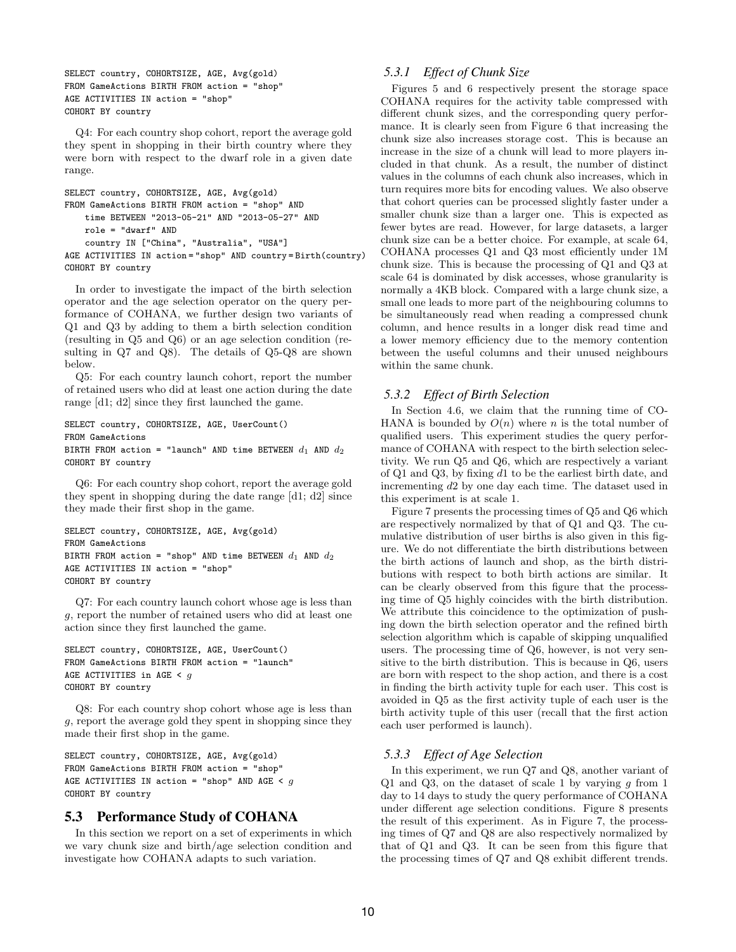SELECT country, COHORTSIZE, AGE, Avg(gold) FROM GameActions BIRTH FROM action = "shop" AGE ACTIVITIES IN action = "shop" COHORT BY country

Q4: For each country shop cohort, report the average gold they spent in shopping in their birth country where they were born with respect to the dwarf role in a given date range.

```
SELECT country, COHORTSIZE, AGE, Avg(gold)
FROM GameActions BIRTH FROM action = "shop" AND
   time BETWEEN "2013-05-21" AND "2013-05-27" AND
   role = "dwarf" AND
   country IN ["China", "Australia", "USA"]
AGE ACTIVITIES IN action = "shop" AND country = Birth(country)
COHORT BY country
```
In order to investigate the impact of the birth selection operator and the age selection operator on the query performance of COHANA, we further design two variants of Q1 and Q3 by adding to them a birth selection condition (resulting in Q5 and Q6) or an age selection condition (resulting in Q7 and Q8). The details of Q5-Q8 are shown below.

Q5: For each country launch cohort, report the number of retained users who did at least one action during the date range [d1; d2] since they first launched the game.

```
SELECT country, COHORTSIZE, AGE, UserCount()
FROM GameActions
BIRTH FROM action = "launch" AND time BETWEEN d_1 AND d_2COHORT BY country
```
Q6: For each country shop cohort, report the average gold they spent in shopping during the date range [d1; d2] since they made their first shop in the game.

```
SELECT country, COHORTSIZE, AGE, Avg(gold)
FROM GameActions
BIRTH FROM action = "shop" AND time BETWEEN d_1 AND d_2AGE ACTIVITIES IN action = "shop"
COHORT BY country
```
Q7: For each country launch cohort whose age is less than g, report the number of retained users who did at least one action since they first launched the game.

```
SELECT country, COHORTSIZE, AGE, UserCount()
FROM GameActions BIRTH FROM action = "launch"
AGE ACTIVITIES in AGE \leq gCOHORT BY country
```
Q8: For each country shop cohort whose age is less than g, report the average gold they spent in shopping since they made their first shop in the game.

SELECT country, COHORTSIZE, AGE, Avg(gold) FROM GameActions BIRTH FROM action = "shop" AGE ACTIVITIES IN action = "shop" AND AGE <  $q$ COHORT BY country

## 5.3 Performance Study of COHANA

In this section we report on a set of experiments in which we vary chunk size and birth/age selection condition and investigate how COHANA adapts to such variation.

#### *5.3.1 Effect of Chunk Size*

Figures 5 and 6 respectively present the storage space COHANA requires for the activity table compressed with different chunk sizes, and the corresponding query performance. It is clearly seen from Figure 6 that increasing the chunk size also increases storage cost. This is because an increase in the size of a chunk will lead to more players included in that chunk. As a result, the number of distinct values in the columns of each chunk also increases, which in turn requires more bits for encoding values. We also observe that cohort queries can be processed slightly faster under a smaller chunk size than a larger one. This is expected as fewer bytes are read. However, for large datasets, a larger chunk size can be a better choice. For example, at scale 64, COHANA processes Q1 and Q3 most efficiently under 1M chunk size. This is because the processing of Q1 and Q3 at scale 64 is dominated by disk accesses, whose granularity is normally a 4KB block. Compared with a large chunk size, a small one leads to more part of the neighbouring columns to be simultaneously read when reading a compressed chunk column, and hence results in a longer disk read time and a lower memory efficiency due to the memory contention between the useful columns and their unused neighbours within the same chunk.

#### *5.3.2 Effect of Birth Selection*

In Section 4.6, we claim that the running time of CO-HANA is bounded by  $O(n)$  where n is the total number of qualified users. This experiment studies the query performance of COHANA with respect to the birth selection selectivity. We run Q5 and Q6, which are respectively a variant of Q1 and Q3, by fixing d1 to be the earliest birth date, and incrementing d2 by one day each time. The dataset used in this experiment is at scale 1.

Figure 7 presents the processing times of Q5 and Q6 which are respectively normalized by that of Q1 and Q3. The cumulative distribution of user births is also given in this figure. We do not differentiate the birth distributions between the birth actions of launch and shop, as the birth distributions with respect to both birth actions are similar. It can be clearly observed from this figure that the processing time of Q5 highly coincides with the birth distribution. We attribute this coincidence to the optimization of pushing down the birth selection operator and the refined birth selection algorithm which is capable of skipping unqualified users. The processing time of Q6, however, is not very sensitive to the birth distribution. This is because in Q6, users are born with respect to the shop action, and there is a cost in finding the birth activity tuple for each user. This cost is avoided in Q5 as the first activity tuple of each user is the birth activity tuple of this user (recall that the first action each user performed is launch).

### *5.3.3 Effect of Age Selection*

In this experiment, we run Q7 and Q8, another variant of Q1 and Q3, on the dataset of scale 1 by varying  $q$  from 1 day to 14 days to study the query performance of COHANA under different age selection conditions. Figure 8 presents the result of this experiment. As in Figure 7, the processing times of Q7 and Q8 are also respectively normalized by that of Q1 and Q3. It can be seen from this figure that the processing times of Q7 and Q8 exhibit different trends.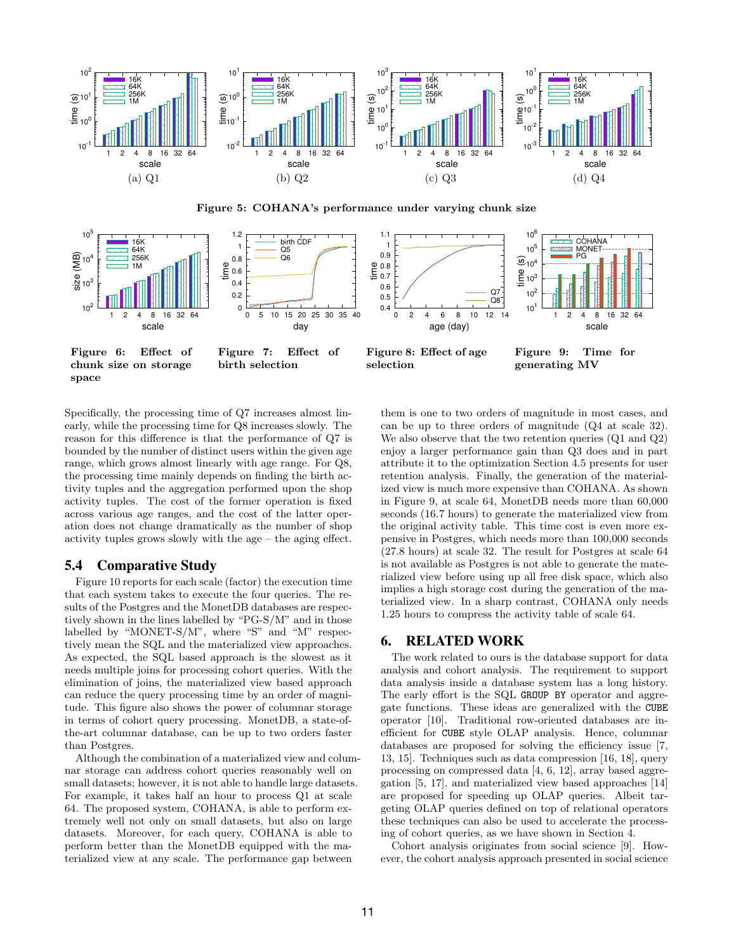

Figure 5: COHANA's performance under varying chunk size



Specifically, the processing time of Q7 increases almost linearly, while the processing time for Q8 increases slowly. The reason for this difference is that the performance of Q7 is bounded by the number of distinct users within the given age range, which grows almost linearly with age range. For Q8, the processing time mainly depends on finding the birth activity tuples and the aggregation performed upon the shop activity tuples. The cost of the former operation is fixed across various age ranges, and the cost of the latter operation does not change dramatically as the number of shop activity tuples grows slowly with the age – the aging effect.

## 5.4 Comparative Study

Figure 10 reports for each scale (factor) the execution time that each system takes to execute the four queries. The results of the Postgres and the MonetDB databases are respectively shown in the lines labelled by "PG-S/M" and in those labelled by "MONET-S/M", where "S" and "M" respectively mean the SQL and the materialized view approaches. As expected, the SQL based approach is the slowest as it needs multiple joins for processing cohort queries. With the elimination of joins, the materialized view based approach can reduce the query processing time by an order of magnitude. This figure also shows the power of columnar storage in terms of cohort query processing. MonetDB, a state-ofthe-art columnar database, can be up to two orders faster than Postgres.

Although the combination of a materialized view and columnar storage can address cohort queries reasonably well on small datasets; however, it is not able to handle large datasets. For example, it takes half an hour to process Q1 at scale 64. The proposed system, COHANA, is able to perform extremely well not only on small datasets, but also on large datasets. Moreover, for each query, COHANA is able to perform better than the MonetDB equipped with the materialized view at any scale. The performance gap between

them is one to two orders of magnitude in most cases, and can be up to three orders of magnitude (Q4 at scale 32). We also observe that the two retention queries (Q1 and Q2) enjoy a larger performance gain than Q3 does and in part attribute it to the optimization Section 4.5 presents for user retention analysis. Finally, the generation of the materialized view is much more expensive than COHANA. As shown in Figure 9, at scale 64, MonetDB needs more than 60,000 seconds (16.7 hours) to generate the materialized view from the original activity table. This time cost is even more expensive in Postgres, which needs more than 100,000 seconds (27.8 hours) at scale 32. The result for Postgres at scale 64 is not available as Postgres is not able to generate the materialized view before using up all free disk space, which also implies a high storage cost during the generation of the materialized view. In a sharp contrast, COHANA only needs 1.25 hours to compress the activity table of scale 64.

## 6. RELATED WORK

The work related to ours is the database support for data analysis and cohort analysis. The requirement to support data analysis inside a database system has a long history. The early effort is the SQL GROUP BY operator and aggregate functions. These ideas are generalized with the CUBE operator [10]. Traditional row-oriented databases are inefficient for CUBE style OLAP analysis. Hence, columnar databases are proposed for solving the efficiency issue [7, 13, 15]. Techniques such as data compression [16, 18], query processing on compressed data [4, 6, 12], array based aggregation [5, 17], and materialized view based approaches [14] are proposed for speeding up OLAP queries. Albeit targeting OLAP queries defined on top of relational operators these techniques can also be used to accelerate the processing of cohort queries, as we have shown in Section 4.

Cohort analysis originates from social science [9]. However, the cohort analysis approach presented in social science